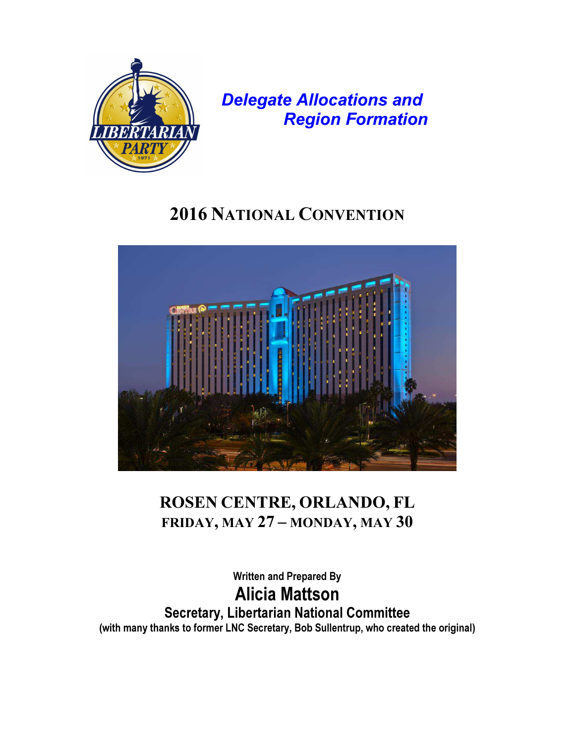

Delegate Allocations and Region Formation

# 2016 NATIONAL CONVENTION



# ROSEN CENTRE, ORLANDO, FL FRIDAY, MAY 27 – MONDAY, MAY 30

Written and Prepared By Alicia Mattson Secretary, Libertarian National Committee (with many thanks to former LNC Secretary, Bob Sullentrup, who created the original)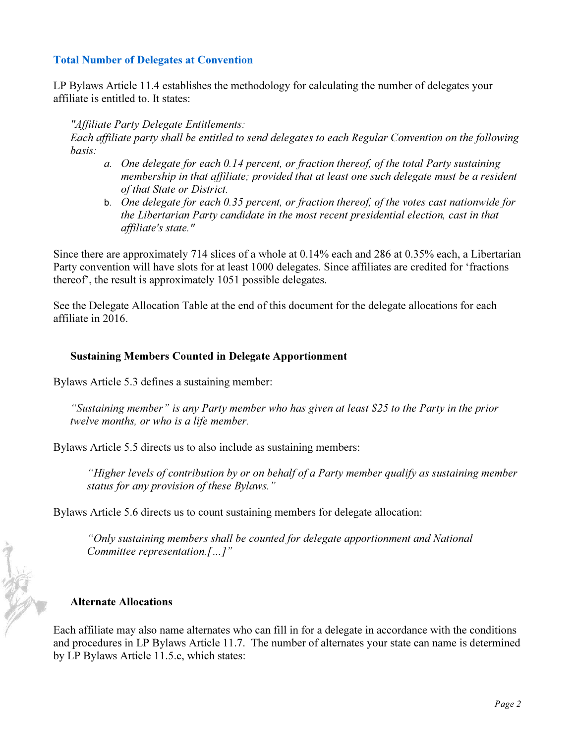#### Total Number of Delegates at Convention

LP Bylaws Article 11.4 establishes the methodology for calculating the number of delegates your affiliate is entitled to. It states:

#### *"Affiliate Party Delegate Entitlements:*

*Each affiliate party shall be entitled to send delegates to each Regular Convention on the following basis:* 

- *a. One delegate for each 0.14 percent, or fraction thereof, of the total Party sustaining membership in that affiliate; provided that at least one such delegate must be a resident of that State or District.*
- b. *One delegate for each 0.35 percent, or fraction thereof, of the votes cast nationwide for the Libertarian Party candidate in the most recent presidential election, cast in that affiliate's state."*

Since there are approximately 714 slices of a whole at 0.14% each and 286 at 0.35% each, a Libertarian Party convention will have slots for at least 1000 delegates. Since affiliates are credited for 'fractions thereof', the result is approximately 1051 possible delegates.

See the Delegate Allocation Table at the end of this document for the delegate allocations for each affiliate in 2016.

#### Sustaining Members Counted in Delegate Apportionment

Bylaws Article 5.3 defines a sustaining member:

*"Sustaining member" is any Party member who has given at least \$25 to the Party in the prior twelve months, or who is a life member.* 

Bylaws Article 5.5 directs us to also include as sustaining members:

*"Higher levels of contribution by or on behalf of a Party member qualify as sustaining member status for any provision of these Bylaws."* 

Bylaws Article 5.6 directs us to count sustaining members for delegate allocation:

*"Only sustaining members shall be counted for delegate apportionment and National Committee representation.[…]"* 

#### Alternate Allocations

NA RO

Each affiliate may also name alternates who can fill in for a delegate in accordance with the conditions and procedures in LP Bylaws Article 11.7. The number of alternates your state can name is determined by LP Bylaws Article 11.5.c, which states: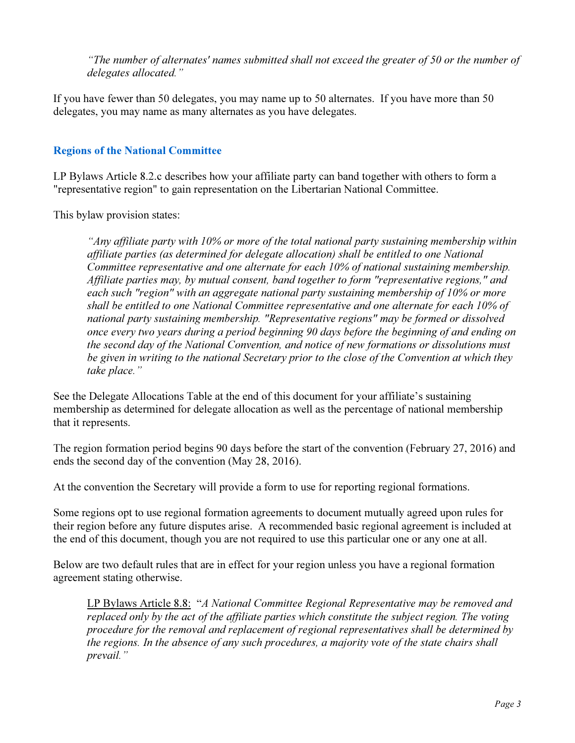*"The number of alternates' names submitted shall not exceed the greater of 50 or the number of delegates allocated."* 

If you have fewer than 50 delegates, you may name up to 50 alternates. If you have more than 50 delegates, you may name as many alternates as you have delegates.

### Regions of the National Committee

LP Bylaws Article 8.2.c describes how your affiliate party can band together with others to form a "representative region" to gain representation on the Libertarian National Committee.

This bylaw provision states:

*"Any affiliate party with 10% or more of the total national party sustaining membership within affiliate parties (as determined for delegate allocation) shall be entitled to one National Committee representative and one alternate for each 10% of national sustaining membership. Affiliate parties may, by mutual consent, band together to form "representative regions," and each such "region" with an aggregate national party sustaining membership of 10% or more shall be entitled to one National Committee representative and one alternate for each 10% of national party sustaining membership. "Representative regions" may be formed or dissolved once every two years during a period beginning 90 days before the beginning of and ending on the second day of the National Convention, and notice of new formations or dissolutions must be given in writing to the national Secretary prior to the close of the Convention at which they take place."* 

See the Delegate Allocations Table at the end of this document for your affiliate's sustaining membership as determined for delegate allocation as well as the percentage of national membership that it represents.

The region formation period begins 90 days before the start of the convention (February 27, 2016) and ends the second day of the convention (May 28, 2016).

At the convention the Secretary will provide a form to use for reporting regional formations.

Some regions opt to use regional formation agreements to document mutually agreed upon rules for their region before any future disputes arise. A recommended basic regional agreement is included at the end of this document, though you are not required to use this particular one or any one at all.

Below are two default rules that are in effect for your region unless you have a regional formation agreement stating otherwise.

LP Bylaws Article 8.8: "*A National Committee Regional Representative may be removed and replaced only by the act of the affiliate parties which constitute the subject region. The voting procedure for the removal and replacement of regional representatives shall be determined by the regions. In the absence of any such procedures, a majority vote of the state chairs shall prevail."*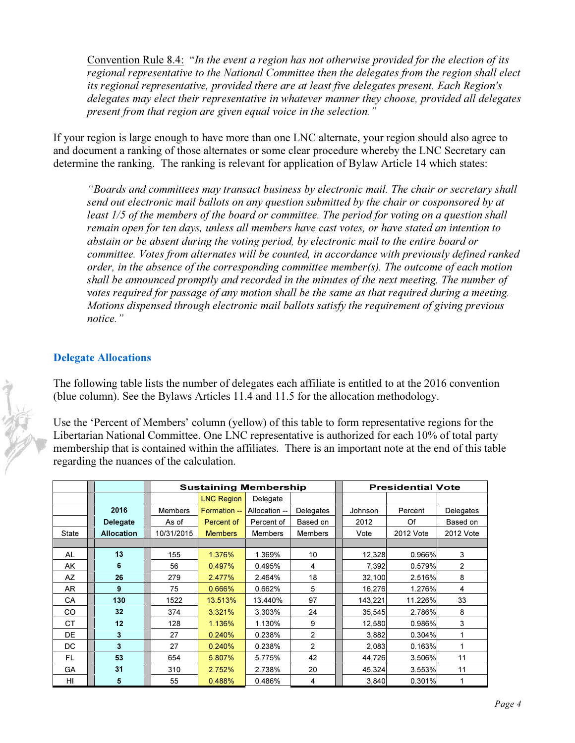Convention Rule 8.4: "*In the event a region has not otherwise provided for the election of its regional representative to the National Committee then the delegates from the region shall elect its regional representative, provided there are at least five delegates present. Each Region's delegates may elect their representative in whatever manner they choose, provided all delegates present from that region are given equal voice in the selection."*

If your region is large enough to have more than one LNC alternate, your region should also agree to and document a ranking of those alternates or some clear procedure whereby the LNC Secretary can determine the ranking. The ranking is relevant for application of Bylaw Article 14 which states:

*"Boards and committees may transact business by electronic mail. The chair or secretary shall send out electronic mail ballots on any question submitted by the chair or cosponsored by at least 1/5 of the members of the board or committee. The period for voting on a question shall remain open for ten days, unless all members have cast votes, or have stated an intention to abstain or be absent during the voting period, by electronic mail to the entire board or committee. Votes from alternates will be counted, in accordance with previously defined ranked order, in the absence of the corresponding committee member(s). The outcome of each motion shall be announced promptly and recorded in the minutes of the next meeting. The number of votes required for passage of any motion shall be the same as that required during a meeting. Motions dispensed through electronic mail ballots satisfy the requirement of giving previous notice."* 

### Delegate Allocations

The following table lists the number of delegates each affiliate is entitled to at the 2016 convention (blue column). See the Bylaws Articles 11.4 and 11.5 for the allocation methodology.

Use the 'Percent of Members' column (yellow) of this table to form representative regions for the Libertarian National Committee. One LNC representative is authorized for each 10% of total party membership that is contained within the affiliates. There is an important note at the end of this table regarding the nuances of the calculation.

|              |                         | <b>Sustaining Membership</b> |                   |                |                | <b>Presidential Vote</b> |           |                |  |
|--------------|-------------------------|------------------------------|-------------------|----------------|----------------|--------------------------|-----------|----------------|--|
|              |                         |                              | <b>LNC Region</b> | Delegate       |                |                          |           |                |  |
|              | 2016                    | <b>Members</b>               | Formation --      | Allocation --  | Delegates      | Johnson                  | Percent   | Delegates      |  |
|              | <b>Delegate</b>         | As of                        | Percent of        | Percent of     | Based on       | 2012                     | Of        | Based on       |  |
| <b>State</b> | <b>Allocation</b>       | 10/31/2015                   | <b>Members</b>    | <b>Members</b> | <b>Members</b> | Vote                     | 2012 Vote | 2012 Vote      |  |
|              |                         |                              |                   |                |                |                          |           |                |  |
| AL           | 13                      | 155                          | 1.376%            | 1.369%         | 10             | 12,328                   | 0.966%    | 3              |  |
| AK           | 6                       | 56                           | 0.497%            | 0.495%         | 4              | 7,392                    | 0.579%    | $\overline{2}$ |  |
| AZ           | 26                      | 279                          | 2.477%            | 2.464%         | 18             | 32,100                   | 2.516%    | 8              |  |
| AR.          | 9                       | 75                           | 0.666%            | 0.662%         | 5              | 16,276                   | 1.276%    | 4              |  |
| CА           | 130                     | 1522                         | 13.513%           | 13.440%        | 97             | 143,221                  | 11.226%   | 33             |  |
| CO           | 32                      | 374                          | 3.321%            | 3.303%         | 24             | 35,545                   | 2.786%    | 8              |  |
| <b>CT</b>    | 12                      | 128                          | 1.136%            | 1.130%         | 9              | 12,580                   | 0.986%    | 3              |  |
| DE           | $\overline{\mathbf{3}}$ | 27                           | 0.240%            | 0.238%         | $\overline{2}$ | 3,882                    | 0.304%    | 1              |  |
| DC.          | $\overline{\mathbf{3}}$ | 27                           | 0.240%            | 0.238%         | $\overline{2}$ | 2,083                    | 0.163%    | 1              |  |
| FL.          | 53                      | 654                          | 5.807%            | 5.775%         | 42             | 44,726                   | 3.506%    | 11             |  |
| GA           | 31                      | 310                          | 2.752%            | 2.738%         | 20             | 45,324                   | 3.553%    | 11             |  |
| HI           | 5                       | 55                           | 0.488%            | 0.486%         | 4              | 3,840                    | 0.301%    | 1              |  |

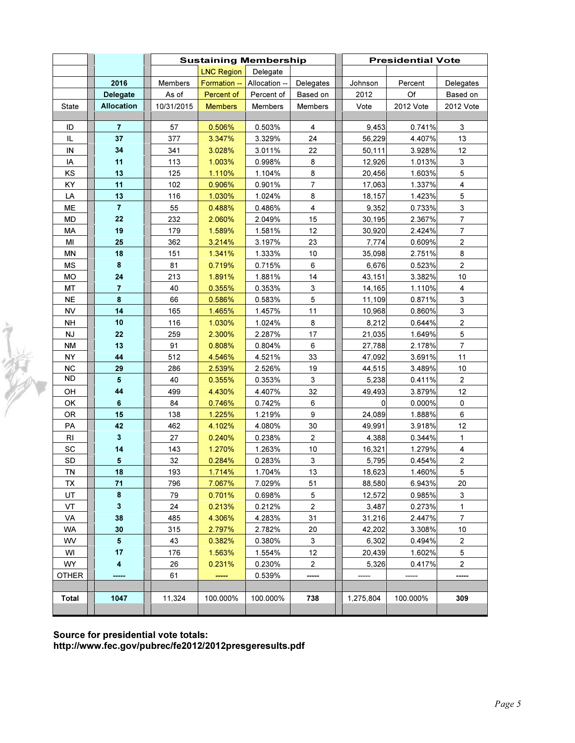|               |                   | <b>Sustaining Membership</b> |                   |               |                | <b>Presidential Vote</b> |           |                           |  |
|---------------|-------------------|------------------------------|-------------------|---------------|----------------|--------------------------|-----------|---------------------------|--|
|               |                   |                              | <b>LNC Region</b> | Delegate      |                |                          |           |                           |  |
|               | 2016              | Members                      | Formation --      | Allocation -- | Delegates      | Johnson                  | Percent   | Delegates                 |  |
|               | Delegate          | As of                        | Percent of        | Percent of    | Based on       | 2012                     | Of        | Based on                  |  |
| State         | <b>Allocation</b> | 10/31/2015                   | <b>Members</b>    | Members       | Members        | Vote                     | 2012 Vote | 2012 Vote                 |  |
|               |                   |                              |                   |               |                |                          |           |                           |  |
| ID            | $\overline{7}$    | 57                           | 0.506%            | 0.503%        | 4              | 9,453                    | 0.741%    | 3                         |  |
| IL            | 37                | 377                          | 3.347%            | 3.329%        | 24             | 56,229                   | 4.407%    | 13                        |  |
| IN            | 34                | 341                          | 3.028%            | 3.011%        | 22             | 50,111                   | 3.928%    | 12                        |  |
| IA            | 11                | 113                          | 1.003%            | 0.998%        | 8              | 12,926                   | 1.013%    | 3                         |  |
| KS            | 13                | 125                          | 1.110%            | 1.104%        | 8              | 20,456                   | 1.603%    | $\mathbf 5$               |  |
| KY            | 11                | 102                          | 0.906%            | 0.901%        | $\overline{7}$ | 17,063                   | 1.337%    | 4                         |  |
| LA            | 13                | 116                          | 1.030%            | 1.024%        | 8              | 18,157                   | 1.423%    | $\mathbf 5$               |  |
| ME            | $\overline{7}$    | 55                           | 0.488%            | 0.486%        | $\overline{4}$ | 9,352                    | 0.733%    | $\mathsf 3$               |  |
| <b>MD</b>     | 22                | 232                          | 2.060%            | 2.049%        | 15             | 30,195                   | 2.367%    | $\overline{7}$            |  |
| <b>MA</b>     | 19                | 179                          | 1.589%            | 1.581%        | 12             | 30,920                   | 2.424%    | $\overline{7}$            |  |
| MI            | 25                | 362                          | 3.214%            | 3.197%        | 23             | 7,774                    | 0.609%    | $\mathbf 2$               |  |
| <b>MN</b>     | 18                | 151                          | 1.341%            | 1.333%        | 10             | 35,098                   | 2.751%    | $\bf 8$                   |  |
| <b>MS</b>     | $\pmb{8}$         | 81                           | 0.719%            | 0.715%        | 6              | 6,676                    | 0.523%    | $\overline{c}$            |  |
| <b>MO</b>     | 24                | 213                          | 1.891%            | 1.881%        | 14             | 43,151                   | 3.382%    | 10                        |  |
| MT            | $\overline{7}$    | 40                           | 0.355%            | 0.353%        | 3              | 14,165                   | 1.110%    | 4                         |  |
| <b>NE</b>     | $\pmb{8}$         | 66                           | 0.586%            | 0.583%        | 5              | 11,109                   | 0.871%    | $\ensuremath{\mathsf{3}}$ |  |
| <b>NV</b>     | 14                | 165                          | 1.465%            | 1.457%        | 11             | 10,968                   | 0.860%    | $\ensuremath{\mathsf{3}}$ |  |
| <b>NH</b>     | 10                | 116                          | 1.030%            | 1.024%        | 8              | 8,212                    | 0.644%    | $\boldsymbol{2}$          |  |
| NJ            | 22                | 259                          | 2.300%            | 2.287%        | 17             | 21,035                   | 1.649%    | $\mathbf 5$               |  |
| NM            | 13                | 91                           | 0.808%            | 0.804%        | 6              | 27,788                   | 2.178%    | $\overline{7}$            |  |
| NY            | 44                | 512                          | 4.546%            | 4.521%        | 33             | 47,092                   | 3.691%    | 11                        |  |
| NC            | 29                | 286                          | 2.539%            | 2.526%        | 19             | 44,515                   | 3.489%    | 10                        |  |
| <b>ND</b>     | 5                 | 40                           | 0.355%            | 0.353%        | 3              | 5,238                    | 0.411%    | $\overline{2}$            |  |
| OH            | 44                | 499                          | 4.430%            | 4.407%        | 32             | 49,493                   | 3.879%    | 12                        |  |
| OK            | $6\phantom{1}$    | 84                           | 0.746%            | 0.742%        | 6              | $\Omega$                 | 0.000%    | 0                         |  |
| <b>OR</b>     | 15                | 138                          | 1.225%            | 1.219%        | 9              | 24,089                   | 1.888%    | 6                         |  |
| PA            | 42                | 462                          | 4.102%            | 4.080%        | 30             | 49,991                   | 3.918%    | 12                        |  |
| $\mathsf{RI}$ | $\mathbf{3}$      | 27                           | 0.240%            | 0.238%        | $\mathbf{2}$   | 4,388                    | 0.344%    | $\mathbf{1}$              |  |
| SC            | 14                | 143                          | 1.270%            | 1.263%        | $10$           | 16,321                   | 1.279%    | $\overline{\mathbf{4}}$   |  |
| SD            | $5\phantom{.0}$   | 32                           | 0.284%            | 0.283%        | 3              | 5,795                    | 0.454%    | $\boldsymbol{2}$          |  |
| TN            | 18                | 193                          | 1.714%            | 1.704%        | 13             | 18,623                   | 1.460%    | 5                         |  |
| TX            | 71                | 796                          | 7.067%            | 7.029%        | 51             | 88,580                   | 6.943%    | 20                        |  |
| UT            | 8                 | 79                           | 0.701%            | 0.698%        | 5              | 12,572                   | 0.985%    | 3                         |  |
| VT            | 3                 | 24                           | 0.213%            | 0.212%        | $\overline{2}$ | 3,487                    | 0.273%    | $\mathbf{1}$              |  |
| VA            | 38                | 485                          | 4.306%            | 4.283%        | 31             | 31,216                   | 2.447%    | $\overline{7}$            |  |
| <b>WA</b>     | 30                | 315                          | 2.797%            | 2.782%        | 20             | 42,202                   | 3.308%    | 10                        |  |
| WV            | 5                 | 43                           | 0.382%            | 0.380%        | 3              | 6,302                    | 0.494%    | $\overline{c}$            |  |
| WI            | 17                | 176                          | 1.563%            | 1.554%        | 12             | 20,439                   | 1.602%    | 5                         |  |
| <b>WY</b>     | 4                 | 26                           | 0.231%            | 0.230%        | $\overline{c}$ | 5,326                    | 0.417%    | 2                         |  |
| <b>OTHER</b>  | -----             | 61                           | -----             | 0.539%        | -----          |                          | -----     | -----                     |  |
|               |                   |                              |                   |               |                |                          |           |                           |  |
| <b>Total</b>  | 1047              | 11,324                       | 100.000%          | 100.000%      | 738            | 1,275,804                | 100.000%  | 309                       |  |

Source for presidential vote totals:

读

http://www.fec.gov/pubrec/fe2012/2012presgeresults.pdf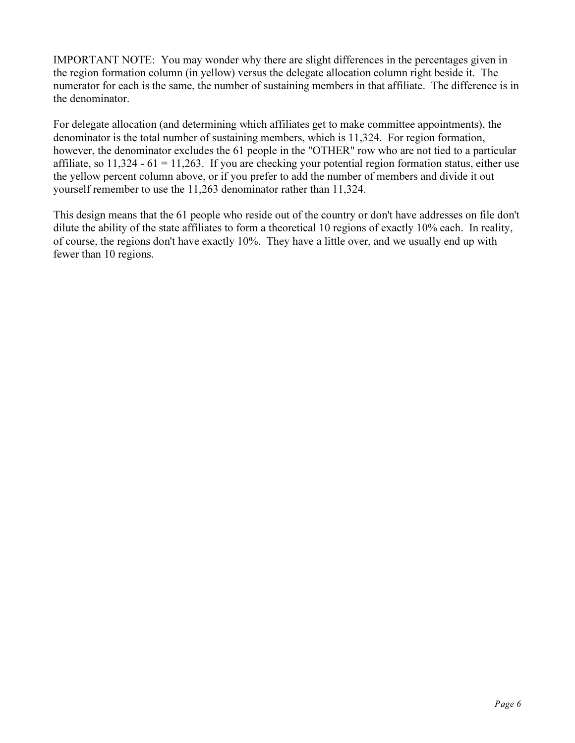IMPORTANT NOTE: You may wonder why there are slight differences in the percentages given in the region formation column (in yellow) versus the delegate allocation column right beside it. The numerator for each is the same, the number of sustaining members in that affiliate. The difference is in the denominator.

For delegate allocation (and determining which affiliates get to make committee appointments), the denominator is the total number of sustaining members, which is 11,324. For region formation, however, the denominator excludes the 61 people in the "OTHER" row who are not tied to a particular affiliate, so  $11,324 - 61 = 11,263$ . If you are checking your potential region formation status, either use the yellow percent column above, or if you prefer to add the number of members and divide it out yourself remember to use the 11,263 denominator rather than 11,324.

This design means that the 61 people who reside out of the country or don't have addresses on file don't dilute the ability of the state affiliates to form a theoretical 10 regions of exactly 10% each. In reality, of course, the regions don't have exactly 10%. They have a little over, and we usually end up with fewer than 10 regions.